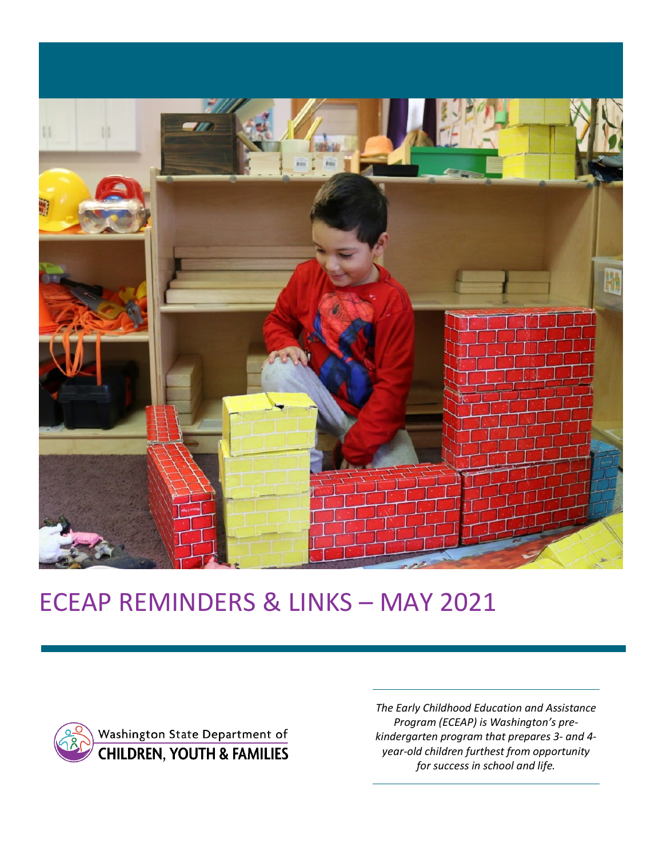

# ECEAP REMINDERS & LINKS – MAY 2021



Washington State Department of **CHILDREN, YOUTH & FAMILIES** 

*The Early Childhood Education and Assistance Program (ECEAP) is Washington's prekindergarten program that prepares 3- and 4 year-old children furthest from opportunity for success in school and life.*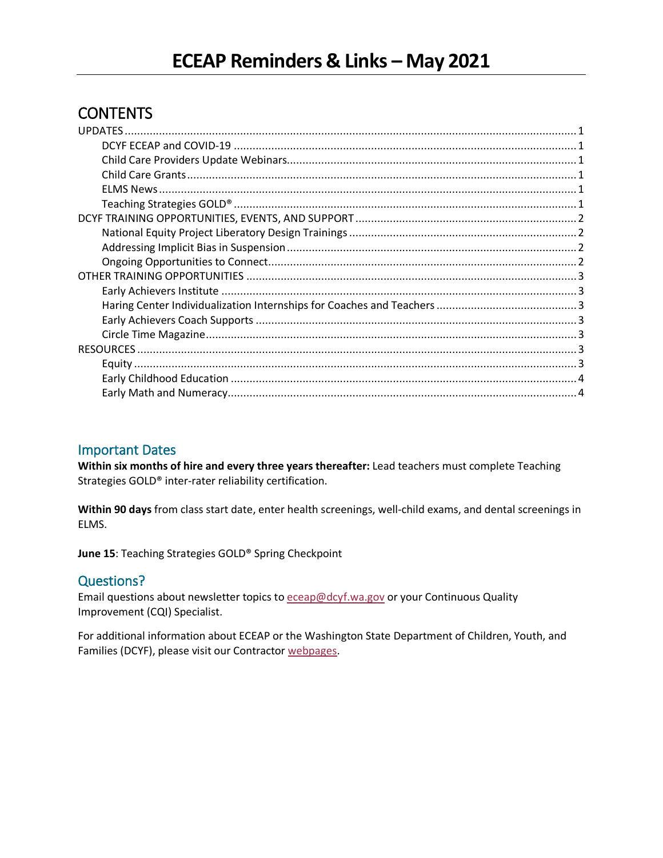# CONTENTS

#### Important Dates

**Within six months of hire and every three years thereafter:** Lead teachers must complete Teaching Strategies GOLD® inter-rater reliability certification.

**Within 90 days** from class start date, enter health screenings, well-child exams, and dental screenings in ELMS.

**June 15**: Teaching Strategies GOLD® Spring Checkpoint

## Questions?

Email questions about newsletter topics to [eceap@dcyf.wa.gov](mailto:eceap@dcyf.wa.gov) or your Continuous Quality Improvement (CQI) Specialist.

For additional information about ECEAP or the Washington State Department of Children, Youth, and Families (DCYF), please visit our Contractor [webpages.](https://www.dcyf.wa.gov/services/early-learning-providers/eceap/contractors)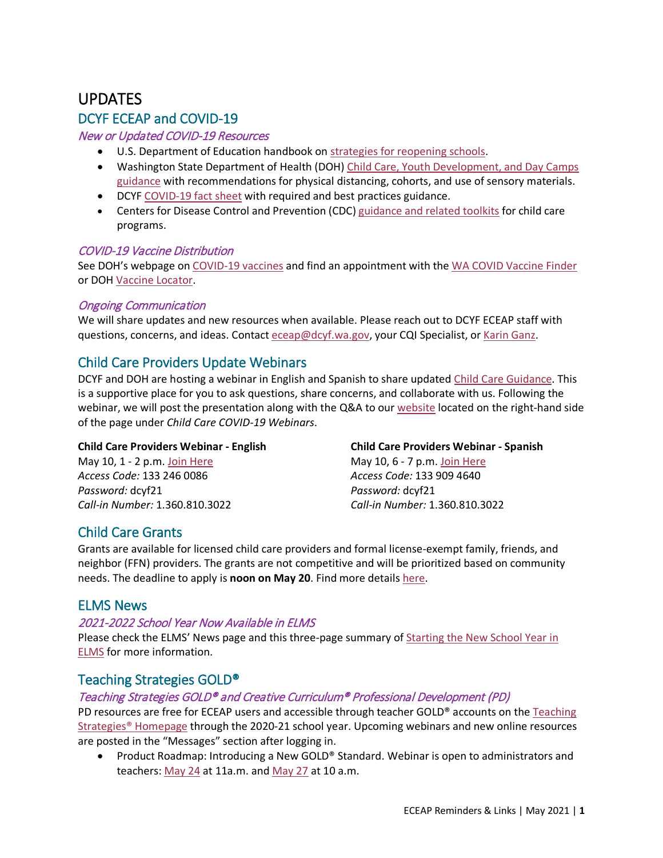# <span id="page-2-0"></span>UPDATES

## <span id="page-2-1"></span>DCYF ECEAP and COVID-19

#### New or Updated COVID-19 Resources

- U.S. Department of Education handbook on [strategies for reopening schools.](https://www2.ed.gov/documents/coronavirus/reopening.pdf?utm_content=&utm_medium=email&utm_name=&utm_source=govdelivery&utm_term=)
- Washington State Department of Health (DOH) Child Care, Youth Development, and Day Camps [guidance](https://www.doh.wa.gov/Portals/1/Documents/1600/coronavirus/DOH-OSPI-DYCF-SchoolsChildCareGuidance.pdf) with recommendations for physical distancing, cohorts, and use of sensory materials.
- DCY[F COVID-19 fact sheet](https://www.dcyf.wa.gov/sites/default/files/pubs/EPS_0032.pdf) with required and best practices guidance.
- Centers for Disease Control and Prevention (CDC) [guidance and related toolkits](https://www.cdc.gov/coronavirus/2019-ncov/community/schools-childcare/guidance-for-childcare.html) for child care programs.

#### COVID-19 Vaccine Distribution

See DOH's webpage on [COVID-19 vaccines](https://www.doh.wa.gov/Emergencies/COVID19/Vaccine) and find an appointment with the [WA COVID Vaccine Finder](https://www.covidwa.com/) or DOH [Vaccine Locator.](https://vaccinelocator.doh.wa.gov/)

#### Ongoing Communication

We will share updates and new resources when available. Please reach out to DCYF ECEAP staff with questions, concerns, and ideas. Contact [eceap@dcyf.wa.gov,](mailto:eceap@dcyf.wa.gov) your CQI Specialist, or [Karin Ganz.](mailto:karin.ganz@dcyf.wa.gov)

## <span id="page-2-2"></span>Child Care Providers Update Webinars

DCYF and DOH are hosting a webinar in English and Spanish to share updated [Child Care Guidance.](https://lnks.gd/l/eyJhbGciOiJIUzI1NiJ9.eyJidWxsZXRpbl9saW5rX2lkIjoxMDAsInVyaSI6ImJwMjpjbGljayIsImJ1bGxldGluX2lkIjoiMjAyMTA0MzAuMzk3MzU1OTEiLCJ1cmwiOiJodHRwczovL3d3dy5kb2gud2EuZ292L1BvcnRhbHMvMS9Eb2N1bWVudHMvMTYwMC9jb3JvbmF2aXJ1cy9ET0gtT1NQSS1EWUNGLVNjaG9vbHNDaGlsZENhcmVHdWlkYW5jZS5wZGYifQ.4-mh3lVbBwQ9Mqej12KfK9VmJwQ6D9qFqEA8zl4zk9Y/s/143640660/br/105666544157-l) This is a supportive place for you to ask questions, share concerns, and collaborate with us. Following the webinar, we will post the presentation along with the Q&A to our [website](https://lnks.gd/l/eyJhbGciOiJIUzI1NiJ9.eyJidWxsZXRpbl9saW5rX2lkIjoxMDMsInVyaSI6ImJwMjpjbGljayIsImJ1bGxldGluX2lkIjoiMjAyMTA0MzAuMzk3MzU1OTEiLCJ1cmwiOiJodHRwczovL2djYzAyLnNhZmVsaW5rcy5wcm90ZWN0aW9uLm91dGxvb2suY29tLz91cmw9aHR0cHMlM0ElMkYlMkZ3d3cuZGN5Zi53YS5nb3YlMkZjb3JvbmF2aXJ1cy1jb3ZpZC0xOSUyRmVhcmx5LWxlYXJuaW5nJmRhdGE9MDQlN0MwMSU3Q2RldmFudGUuZGFuaWVscyU0MGRjeWYud2EuZ292JTdDOTA1OGFjMDNhM2RkNGY0NzQwOGMwOGQ4ZTRkMTc2YzQlN0MxMWQwZTIxNzI2NGU0MDBhOGJhMDU3ZGNjMTI3ZDcyZCU3QzAlN0MwJTdDNjM3NTEwOTM1NTgyNDc1MjEzJTdDVW5rbm93biU3Q1RXRnBiR1pzYjNkOGV5SldJam9pTUM0d0xqQXdNREFpTENKUUlqb2lWMmx1TXpJaUxDSkJUaUk2SWsxaGFXd2lMQ0pYVkNJNk1uMCUzRCU3QzEwMDAmc2RhdGE9bmJzM0t2NUNFYUhhRk9DaHc3OEh5TjBSREx6bGQxZTFvRmlsRU94dVRFNCUzRCZyZXNlcnZlZD0wIn0.VdvBzF908FYDHVfYgHPhBosXGA4FcxuwEWBBSZMRayc/s/143640660/br/105666544157-l) located on the right-hand side of the page under *Child Care COVID-19 Webinars*.

#### **Child Care Providers Webinar - English**

May 10, 1 - 2 p.m. [Join Here](https://lnks.gd/l/eyJhbGciOiJIUzI1NiJ9.eyJidWxsZXRpbl9saW5rX2lkIjoxMDEsInVyaSI6ImJwMjpjbGljayIsImJ1bGxldGluX2lkIjoiMjAyMTA0MzAuMzk3MzU1OTEiLCJ1cmwiOiJodHRwczovL3dhZGN5Zi53ZWJleC5jb20vd2FkY3lmL2oucGhwP01USUQ9bTE1MTc5NmYzMDJiOWE1MTkzZTUzZTA1NDJhODBkM2JhIn0.VVsZK3aC17OJEoshN1csljNqdT0jsLz7rtrbSUp3AnI/s/143640660/br/105666544157-l) *Access Code:* 133 246 0086 *Password:* dcyf21 *Call-in Number:* 1.360.810.3022

# **Child Care Providers Webinar - Spanish**

May 10, 6 - 7 p.m. [Join Here](https://lnks.gd/l/eyJhbGciOiJIUzI1NiJ9.eyJidWxsZXRpbl9saW5rX2lkIjoxMDIsInVyaSI6ImJwMjpjbGljayIsImJ1bGxldGluX2lkIjoiMjAyMTA0MzAuMzk3MzU1OTEiLCJ1cmwiOiJodHRwczovL3dhZGN5Zi53ZWJleC5jb20vd2FkY3lmL2oucGhwP01USUQ9bWMzN2JhZmM3ZTVhMmJhYmEzZmJhYTU3MmUyOTBhNjE2In0.KV9IXJ12gNI0aljihKE4EX6b71KCDAt6nNId5UEXdI4/s/143640660/br/105666544157-l) *Access Code:* 133 909 4640 *Password:* dcyf21 *Call-in Number:* 1.360.810.3022

## <span id="page-2-3"></span>Child Care Grants

Grants are available for licensed child care providers and formal license-exempt family, friends, and neighbor (FFN) providers. The grants are not competitive and will be prioritized based on community needs. The deadline to apply is **noon on May 20**. Find more details [here.](https://www.dcyf.wa.gov/coronavirus-covid-19/early-learning/covid19-grant-spring21)

#### <span id="page-2-4"></span>ELMS News

#### 2021-2022 School Year Now Available in ELMS

Please check the ELMS' News page and this three-page summary of [Starting the New School Year in](https://www.dcyf.wa.gov/sites/default/files/pdf/Starting_the_New_School_Year_in_ELMS.pdf)  [ELMS](https://www.dcyf.wa.gov/sites/default/files/pdf/Starting_the_New_School_Year_in_ELMS.pdf) for more information.

#### <span id="page-2-5"></span>Teaching Strategies GOLD®

#### Teaching Strategies GOLD® and Creative Curriculum® Professional Development (PD)

PD resources are free for ECEAP users and accessible through teacher GOLD® accounts on the [Teaching](https://teachingstrategies.com/)  [Strategies® Homepage](https://teachingstrategies.com/) through the 2020-21 school year. Upcoming webinars and new online resources are posted in the "Messages" section after logging in.

• Product Roadmap: Introducing a New GOLD® Standard. Webinar is open to administrators and teachers: [May 24](https://teachingstrategies.zoom.us/webinar/register/WN_gpnheaAZSsOr8kpif5deWg?mkt_tok=MjkzLUhMSi03MjkAAAF8UJEzfi0U-aYZWq_GkIXyYtBrSlPbW-IWFuRxNSXTcVFa3QWoXVXa4zDvynAhuKVAHqNtmocVOwqU8KOjtJWbPTvACZlz-BKoQtlDFExt9aRE8g) at 11a.m. an[d May 27](https://teachingstrategies.zoom.us/webinar/register/WN_MqTIxFaiSjKPYnuQzAUPEg?mkt_tok=MjkzLUhMSi03MjkAAAF8UJEzfft9AuN3BPXgmNxEl4xi2naT5F3dKEyRj9lXxPs1fQzVtGEWHnOiVda1xurDC3tq_rJItN_nL1OAe3Y2uT-IbsdND6bMtmUBFMbSK6emLw) at 10 a.m.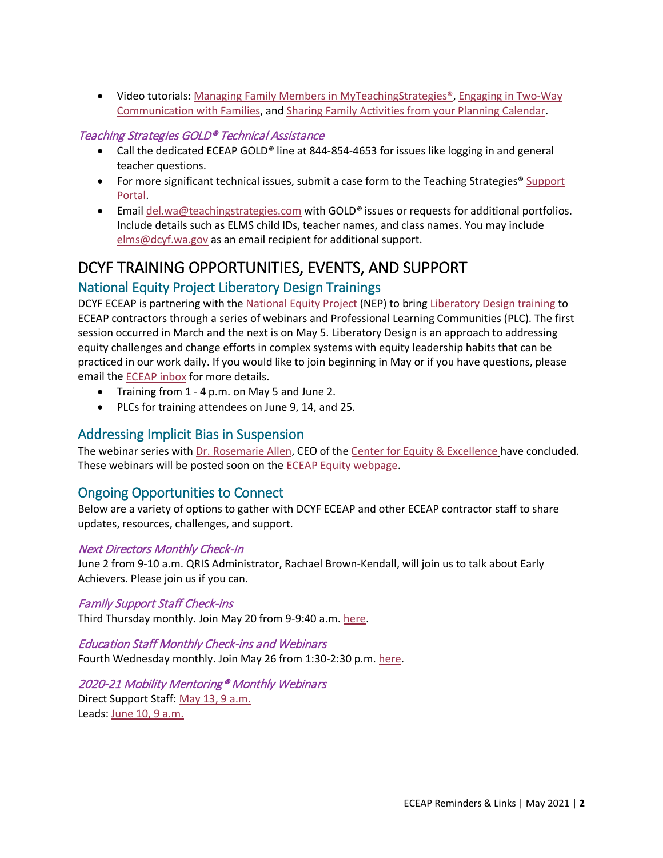• Video tutorials: [Managing Family Members in MyTeachingStrategies®,](https://teachingstrategies.force.com/portal/s/article/Video-Managing-Family-Members-in-MyTeachingStrategies?mkt_tok=eyJpIjoiT0dRNU5EWmxNVE5pTUdZNCIsInQiOiI0MDBFc2paY1NEclJsOFBNS3FpODFvWVcyakRLMVd1UTV1QXlKdFZwMHBENk1ERUlpVGFxSk9UWHJNMnArT1JJSE4xejBtZ3R4Mzd6R0d4YWFjazJ2bkRFc1dRTGJaaTJJaWNIaW9KOGhIcjdmQStHekFNWWRkQUZINlhpZkJaNSJ9) [Engaging in Two-Way](https://teachingstrategies.force.com/portal/s/article/Video-Engaging-in-Two-Way-Communication-with-Families?mkt_tok=eyJpIjoiT0dRNU5EWmxNVE5pTUdZNCIsInQiOiI0MDBFc2paY1NEclJsOFBNS3FpODFvWVcyakRLMVd1UTV1QXlKdFZwMHBENk1ERUlpVGFxSk9UWHJNMnArT1JJSE4xejBtZ3R4Mzd6R0d4YWFjazJ2bkRFc1dRTGJaaTJJaWNIaW9KOGhIcjdmQStHekFNWWRkQUZINlhpZkJaNSJ9)  [Communication with Families,](https://teachingstrategies.force.com/portal/s/article/Video-Engaging-in-Two-Way-Communication-with-Families?mkt_tok=eyJpIjoiT0dRNU5EWmxNVE5pTUdZNCIsInQiOiI0MDBFc2paY1NEclJsOFBNS3FpODFvWVcyakRLMVd1UTV1QXlKdFZwMHBENk1ERUlpVGFxSk9UWHJNMnArT1JJSE4xejBtZ3R4Mzd6R0d4YWFjazJ2bkRFc1dRTGJaaTJJaWNIaW9KOGhIcjdmQStHekFNWWRkQUZINlhpZkJaNSJ9) and [Sharing Family Activities from your Planning Calendar.](https://teachingstrategies.force.com/portal/s/article/Video-Sharing-Family-Activities-from-Your-Planning-Calendar?mkt_tok=eyJpIjoiT0dRNU5EWmxNVE5pTUdZNCIsInQiOiI0MDBFc2paY1NEclJsOFBNS3FpODFvWVcyakRLMVd1UTV1QXlKdFZwMHBENk1ERUlpVGFxSk9UWHJNMnArT1JJSE4xejBtZ3R4Mzd6R0d4YWFjazJ2bkRFc1dRTGJaaTJJaWNIaW9KOGhIcjdmQStHekFNWWRkQUZINlhpZkJaNSJ9)

#### Teaching Strategies GOLD® Technical Assistance

- Call the dedicated ECEAP GOLD*®* line at 844-854-4653 for issues like logging in and general teacher questions.
- For more significant technical issues, submit a case form to the Teaching Strategies® Support [Portal.](https://teachingstrategies.force.com/portal/s/submit-a-case)
- Email [del.wa@teachingstrategies.com](mailto:del.wa@teachingstrategies.com) with GOLD*®* issues or requests for additional portfolios. Include details such as ELMS child IDs, teacher names, and class names. You may include [elms@dcyf.wa.gov](mailto:elms@dcyf.wa.gov) as an email recipient for additional support.

# <span id="page-3-0"></span>DCYF TRAINING OPPORTUNITIES, EVENTS, AND SUPPORT

## <span id="page-3-1"></span>National Equity Project Liberatory Design Trainings

DCYF ECEAP is partnering with the [National Equity Project](https://www.nationalequityproject.org/) (NEP) to bring [Liberatory Design training](https://www.nationalequityproject.org/frameworks/liberatory-design#:%7E:text=Liberatory%20Design%20is%20an%20approach,those%20most%20impacted%20by%20oppression) to ECEAP contractors through a series of webinars and Professional Learning Communities (PLC). The first session occurred in March and the next is on May 5. Liberatory Design is an approach to addressing equity challenges and change efforts in complex systems with equity leadership habits that can be practiced in our work daily. If you would like to join beginning in May or if you have questions, please email the [ECEAP inbox](mailto:dcyf.eceap@dcyf.wa.gov) for more details.

- Training from 1 4 p.m. on May 5 and June 2.
- PLCs for training attendees on June 9, 14, and 25.

## <span id="page-3-2"></span>Addressing Implicit Bias in Suspension

The webinar series with [Dr. Rosemarie Allen,](https://www.rosemarieallen.com/biography--dr.-rosemarie-allen.html) CEO of th[e Center for Equity & Excellence](https://www.rosemarieallen.com/home.html) have concluded. These webinars will be posted soon on the [ECEAP Equity webpage.](https://www.dcyf.wa.gov/services/early-learning-providers/eceap/equity)

## <span id="page-3-3"></span>Ongoing Opportunities to Connect

Below are a variety of options to gather with DCYF ECEAP and other ECEAP contractor staff to share updates, resources, challenges, and support.

#### Next Directors Monthly Check-In

June 2 from 9-10 a.m. QRIS Administrator, Rachael Brown-Kendall, will join us to talk about Early Achievers. Please join us if you can.

#### Family Support Staff Check-ins

Third Thursday monthly. Join May 20 from 9-9:40 a.m. [here.](https://dcyf.zoom.us/j/94143055059?pwd=enJXaC9zcTNFaytnS3h6dVVWeUEzQT09)

#### Education Staff Monthly Check-ins and Webinars

Fourth Wednesday monthly. Join May 26 from 1:30-2:30 p.m. [here.](https://dcyf.zoom.us/j/89110528671?pwd=SFJEMngyMUdxYXlTMlNFRFROdGFFdz09)

## 2020-21 Mobility Mentoring® Monthly Webinars

<span id="page-3-4"></span>Direct Support Staff: [May 13, 9 a.m.](https://attendee.gotowebinar.com/register/1407197171068013583) Leads: [June 10, 9 a.m.](https://attendee.gotowebinar.com/register/8953468728929489677)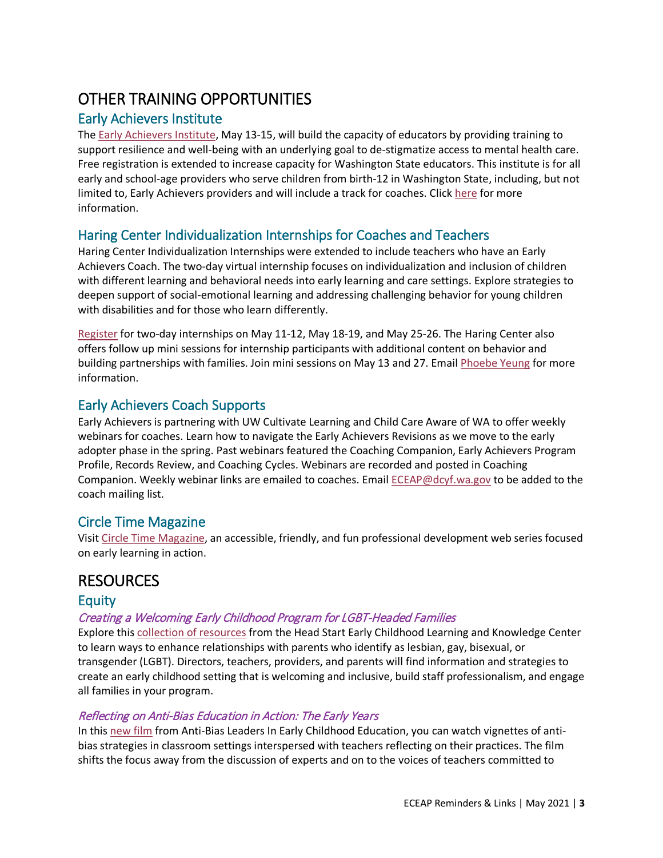# OTHER TRAINING OPPORTUNITIES

## <span id="page-4-0"></span>Early Achievers Institute

The [Early Achievers Institute,](https://cdn1-originals.webdamdb.com/13012_119722176?cache=1616097595&response-content-disposition=inline;filename=Save%2520the%2520Date%2520Institute%2520flyer03.18%2520SB.pdf&response-content-type=application/pdf&Policy=eyJTdGF0ZW1lbnQiOlt7IlJlc291cmNlIjoiaHR0cCo6Ly9jZG4xLW9yaWdpbmFscy53ZWJkYW1kYi5jb20vMTMwMTJfMTE5NzIyMTc2P2NhY2hlPTE2MTYwOTc1OTUmcmVzcG9uc2UtY29udGVudC1kaXNwb3NpdGlvbj1pbmxpbmU7ZmlsZW5hbWU9U2F2ZSUyNTIwdGhlJTI1MjBEYXRlJTI1MjBJbnN0aXR1dGUlMjUyMGZseWVyMDMuMTglMjUyMFNCLnBkZiZyZXNwb25zZS1jb250ZW50LXR5cGU9YXBwbGljYXRpb24vcGRmIiwiQ29uZGl0aW9uIjp7IkRhdGVMZXNzVGhhbiI6eyJBV1M6RXBvY2hUaW1lIjoyMTQ3NDE0NDAwfX19XX0_&Signature=JUMl9wa0zw6mbayFrdMJwBt7F2aJWHrcMGrSAH9oHulyw9KOGYRhC9fzghqtKYBWeHoagi76UrijePy5WOSXoVzMXKspd3I-HoxiPJ1g%7EzfsiPKORVGDq1I76xupCTRjowhajdBcNLvxJXFCmD5jUPDf4xkiCdxDnbdux1ziW5hidzig90pLb9kVh6JUO2Su4LcnAicyRWs%7EWEmscdS2tseE9K0Z6npdOjl9I%7EbQ71HoG7mXBRNYKE3r8SqyxQqFC-NaFrAVt4YaWpaVtCkXw2ejZPVhEOx9H0I86lSPqy1KvN7-HqogkBQ9OB32B2-C08KoUuS3%7EAObXsEl4LkLEg__&Key-Pair-Id=APKAI2ASI2IOLRFF2RHA) May 13-15, will build the capacity of educators by providing training to support resilience and well-being with an underlying goal to de-stigmatize access to mental health care. Free registration is extended to increase capacity for Washington State educators. This institute is for all early and school-age providers who serve children from birth-12 in Washington State, including, but not limited to, Early Achievers providers and will include a track for coaches. Click [here](https://cdn1-originals.webdamdb.com/13012_119722176?cache=1616097595&response-content-disposition=inline;filename=Save%2520the%2520Date%2520Institute%2520flyer03.18%2520SB.pdf&response-content-type=application/pdf&Policy=eyJTdGF0ZW1lbnQiOlt7IlJlc291cmNlIjoiaHR0cCo6Ly9jZG4xLW9yaWdpbmFscy53ZWJkYW1kYi5jb20vMTMwMTJfMTE5NzIyMTc2P2NhY2hlPTE2MTYwOTc1OTUmcmVzcG9uc2UtY29udGVudC1kaXNwb3NpdGlvbj1pbmxpbmU7ZmlsZW5hbWU9U2F2ZSUyNTIwdGhlJTI1MjBEYXRlJTI1MjBJbnN0aXR1dGUlMjUyMGZseWVyMDMuMTglMjUyMFNCLnBkZiZyZXNwb25zZS1jb250ZW50LXR5cGU9YXBwbGljYXRpb24vcGRmIiwiQ29uZGl0aW9uIjp7IkRhdGVMZXNzVGhhbiI6eyJBV1M6RXBvY2hUaW1lIjoyMTQ3NDE0NDAwfX19XX0_&Signature=JUMl9wa0zw6mbayFrdMJwBt7F2aJWHrcMGrSAH9oHulyw9KOGYRhC9fzghqtKYBWeHoagi76UrijePy5WOSXoVzMXKspd3I-HoxiPJ1g%7EzfsiPKORVGDq1I76xupCTRjowhajdBcNLvxJXFCmD5jUPDf4xkiCdxDnbdux1ziW5hidzig90pLb9kVh6JUO2Su4LcnAicyRWs%7EWEmscdS2tseE9K0Z6npdOjl9I%7EbQ71HoG7mXBRNYKE3r8SqyxQqFC-NaFrAVt4YaWpaVtCkXw2ejZPVhEOx9H0I86lSPqy1KvN7-HqogkBQ9OB32B2-C08KoUuS3%7EAObXsEl4LkLEg__&Key-Pair-Id=APKAI2ASI2IOLRFF2RHA) for more information.

## <span id="page-4-1"></span>Haring Center Individualization Internships for Coaches and Teachers

Haring Center Individualization Internships were extended to include teachers who have an Early Achievers Coach. The two-day virtual internship focuses on individualization and inclusion of children with different learning and behavioral needs into early learning and care settings. Explore strategies to deepen support of social-emotional learning and addressing challenging behavior for young children with disabilities and for those who learn differently.

[Register](https://docs.google.com/forms/d/e/1FAIpQLScC4-VghkVGlWPJhf9c9JuiuQaSe_xnzYXZQtG6xAEWCINtIw/viewform) for two-day internships on May 11-12, May 18-19, and May 25-26. The Haring Center also offers follow up mini sessions for internship participants with additional content on behavior and building partnerships with families. Join mini sessions on May 13 and 27. Email [Phoebe Yeung](mailto:pcyeung@uw.edu) for more information.

## <span id="page-4-2"></span>Early Achievers Coach Supports

Early Achievers is partnering with UW Cultivate Learning and Child Care Aware of WA to offer weekly webinars for coaches. Learn how to navigate the Early Achievers Revisions as we move to the early adopter phase in the spring. Past webinars featured the Coaching Companion, Early Achievers Program Profile, Records Review, and Coaching Cycles. Webinars are recorded and posted in Coaching Companion. Weekly webinar links are emailed to coaches. Emai[l ECEAP@dcyf.wa.gov](mailto:ECEAP@dcyf.wa.gov) to be added to the coach mailing list.

## <span id="page-4-3"></span>Circle Time Magazine

Visit [Circle Time Magazine,](https://cultivatelearning.uw.edu/circle-time-magazine/) an accessible, friendly, and fun professional development web series focused on early learning in action.

# <span id="page-4-4"></span>**RESOURCES**

## <span id="page-4-5"></span>**Equity**

## Creating a Welcoming Early Childhood Program for LGBT-Headed Families

Explore this [collection of resources](https://eclkc.ohs.acf.hhs.gov/family-engagement/article/creating-welcoming-early-childhood-program-lgbt-headed-families) from the Head Start Early Childhood Learning and Knowledge Center to learn ways to enhance relationships with parents who identify as lesbian, gay, bisexual, or transgender (LGBT). Directors, teachers, providers, and parents will find information and strategies to create an early childhood setting that is welcoming and inclusive, build staff professionalism, and engage all families in your program.

#### Reflecting on Anti-Bias Education in Action: The Early Years

In this [new film](https://www.antibiasleadersece.com/the-film-reflecting-on-anti-bias-education-in-action/) from Anti-Bias Leaders In Early Childhood Education, you can watch vignettes of antibias strategies in classroom settings interspersed with teachers reflecting on their practices. The film shifts the focus away from the discussion of experts and on to the voices of teachers committed to